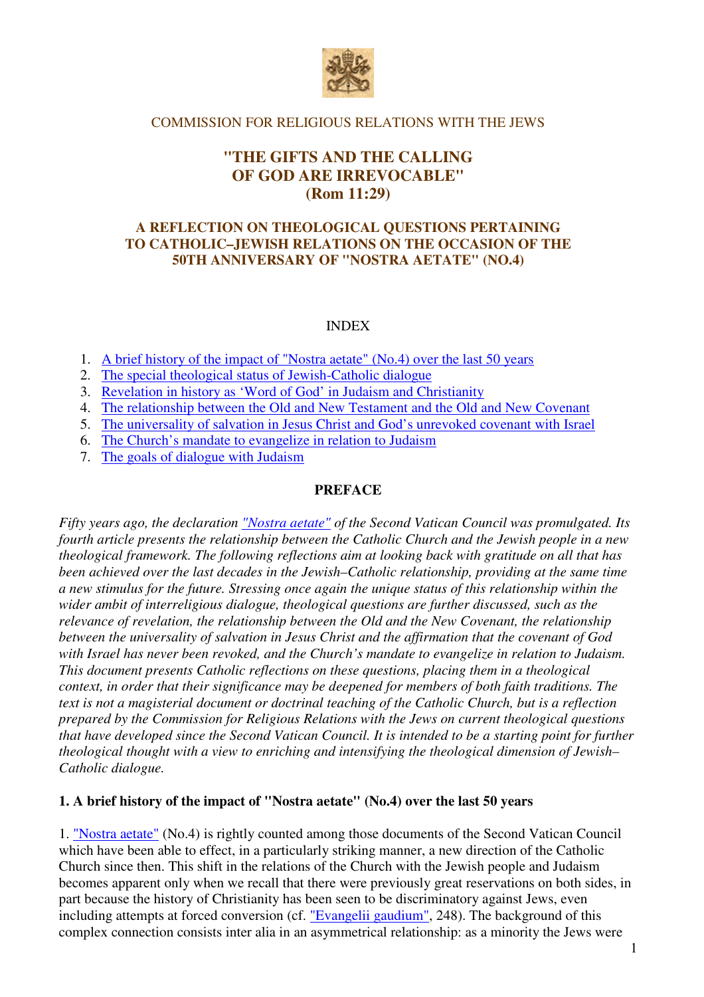

### COMMISSION FOR RELIGIOUS RELATIONS WITH THE JEWS

# **"THE GIFTS AND THE CALLING OF GOD ARE IRREVOCABLE" (Rom 11:29)**

## **A REFLECTION ON THEOLOGICAL QUESTIONS PERTAINING TO CATHOLIC–JEWISH RELATIONS ON THE OCCASION OF THE 50TH ANNIVERSARY OF "NOSTRA AETATE" (NO.4)**

#### INDEX

- 1. A brief history of the impact of "Nostra aetate" (No.4) over the last 50 years
- 2. The special theological status of Jewish-Catholic dialogue
- 3. Revelation in history as 'Word of God' in Judaism and Christianity
- 4. The relationship between the Old and New Testament and the Old and New Covenant
- 5. The universality of salvation in Jesus Christ and God's unrevoked covenant with Israel
- 6. The Church's mandate to evangelize in relation to Judaism
- 7. The goals of dialogue with Judaism

### **PREFACE**

*Fifty years ago, the declaration "Nostra aetate" of the Second Vatican Council was promulgated. Its fourth article presents the relationship between the Catholic Church and the Jewish people in a new theological framework. The following reflections aim at looking back with gratitude on all that has been achieved over the last decades in the Jewish–Catholic relationship, providing at the same time a new stimulus for the future. Stressing once again the unique status of this relationship within the wider ambit of interreligious dialogue, theological questions are further discussed, such as the relevance of revelation, the relationship between the Old and the New Covenant, the relationship between the universality of salvation in Jesus Christ and the affirmation that the covenant of God with Israel has never been revoked, and the Church's mandate to evangelize in relation to Judaism. This document presents Catholic reflections on these questions, placing them in a theological context, in order that their significance may be deepened for members of both faith traditions. The text is not a magisterial document or doctrinal teaching of the Catholic Church, but is a reflection prepared by the Commission for Religious Relations with the Jews on current theological questions that have developed since the Second Vatican Council. It is intended to be a starting point for further theological thought with a view to enriching and intensifying the theological dimension of Jewish– Catholic dialogue.*

#### **1. A brief history of the impact of "Nostra aetate" (No.4) over the last 50 years**

1. "Nostra aetate" (No.4) is rightly counted among those documents of the Second Vatican Council which have been able to effect, in a particularly striking manner, a new direction of the Catholic Church since then. This shift in the relations of the Church with the Jewish people and Judaism becomes apparent only when we recall that there were previously great reservations on both sides, in part because the history of Christianity has been seen to be discriminatory against Jews, even including attempts at forced conversion (cf. "Evangelii gaudium", 248). The background of this complex connection consists inter alia in an asymmetrical relationship: as a minority the Jews were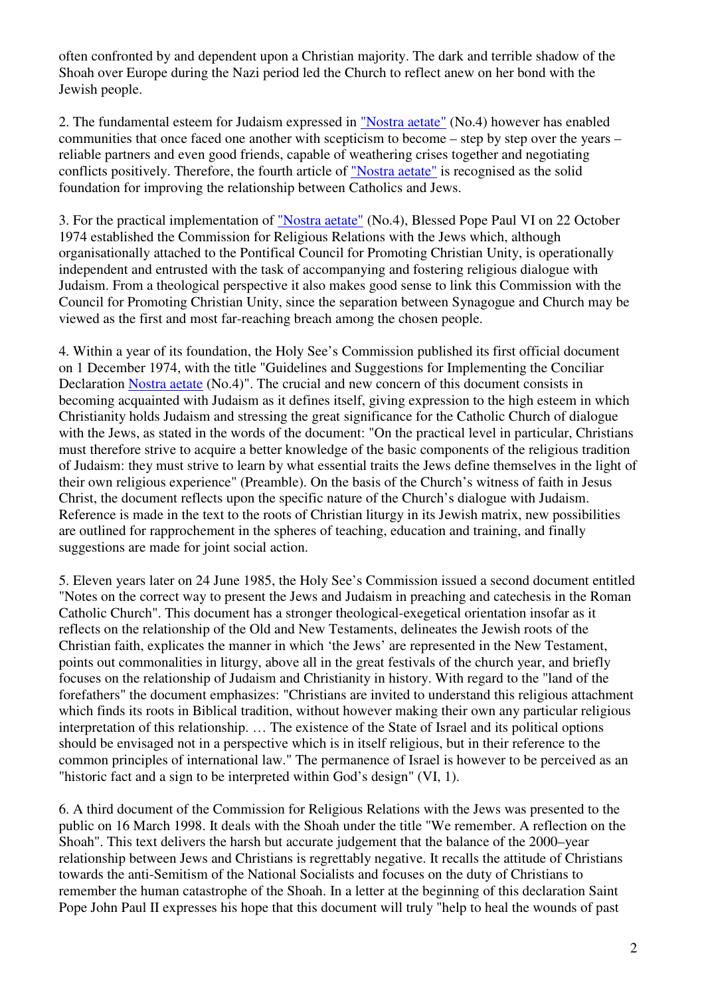often confronted by and dependent upon a Christian majority. The dark and terrible shadow of the Shoah over Europe during the Nazi period led the Church to reflect anew on her bond with the Jewish people.

2. The fundamental esteem for Judaism expressed in "Nostra aetate" (No.4) however has enabled communities that once faced one another with scepticism to become – step by step over the years – reliable partners and even good friends, capable of weathering crises together and negotiating conflicts positively. Therefore, the fourth article of "Nostra aetate" is recognised as the solid foundation for improving the relationship between Catholics and Jews.

3. For the practical implementation of "Nostra aetate" (No.4), Blessed Pope Paul VI on 22 October 1974 established the Commission for Religious Relations with the Jews which, although organisationally attached to the Pontifical Council for Promoting Christian Unity, is operationally independent and entrusted with the task of accompanying and fostering religious dialogue with Judaism. From a theological perspective it also makes good sense to link this Commission with the Council for Promoting Christian Unity, since the separation between Synagogue and Church may be viewed as the first and most far-reaching breach among the chosen people.

4. Within a year of its foundation, the Holy See's Commission published its first official document on 1 December 1974, with the title "Guidelines and Suggestions for Implementing the Conciliar Declaration Nostra aetate (No.4)". The crucial and new concern of this document consists in becoming acquainted with Judaism as it defines itself, giving expression to the high esteem in which Christianity holds Judaism and stressing the great significance for the Catholic Church of dialogue with the Jews, as stated in the words of the document: "On the practical level in particular, Christians must therefore strive to acquire a better knowledge of the basic components of the religious tradition of Judaism: they must strive to learn by what essential traits the Jews define themselves in the light of their own religious experience" (Preamble). On the basis of the Church's witness of faith in Jesus Christ, the document reflects upon the specific nature of the Church's dialogue with Judaism. Reference is made in the text to the roots of Christian liturgy in its Jewish matrix, new possibilities are outlined for rapprochement in the spheres of teaching, education and training, and finally suggestions are made for joint social action.

5. Eleven years later on 24 June 1985, the Holy See's Commission issued a second document entitled "Notes on the correct way to present the Jews and Judaism in preaching and catechesis in the Roman Catholic Church". This document has a stronger theological-exegetical orientation insofar as it reflects on the relationship of the Old and New Testaments, delineates the Jewish roots of the Christian faith, explicates the manner in which 'the Jews' are represented in the New Testament, points out commonalities in liturgy, above all in the great festivals of the church year, and briefly focuses on the relationship of Judaism and Christianity in history. With regard to the "land of the forefathers" the document emphasizes: "Christians are invited to understand this religious attachment which finds its roots in Biblical tradition, without however making their own any particular religious interpretation of this relationship. … The existence of the State of Israel and its political options should be envisaged not in a perspective which is in itself religious, but in their reference to the common principles of international law." The permanence of Israel is however to be perceived as an "historic fact and a sign to be interpreted within God's design" (VI, 1).

6. A third document of the Commission for Religious Relations with the Jews was presented to the public on 16 March 1998. It deals with the Shoah under the title "We remember. A reflection on the Shoah". This text delivers the harsh but accurate judgement that the balance of the 2000–year relationship between Jews and Christians is regrettably negative. It recalls the attitude of Christians towards the anti-Semitism of the National Socialists and focuses on the duty of Christians to remember the human catastrophe of the Shoah. In a letter at the beginning of this declaration Saint Pope John Paul II expresses his hope that this document will truly "help to heal the wounds of past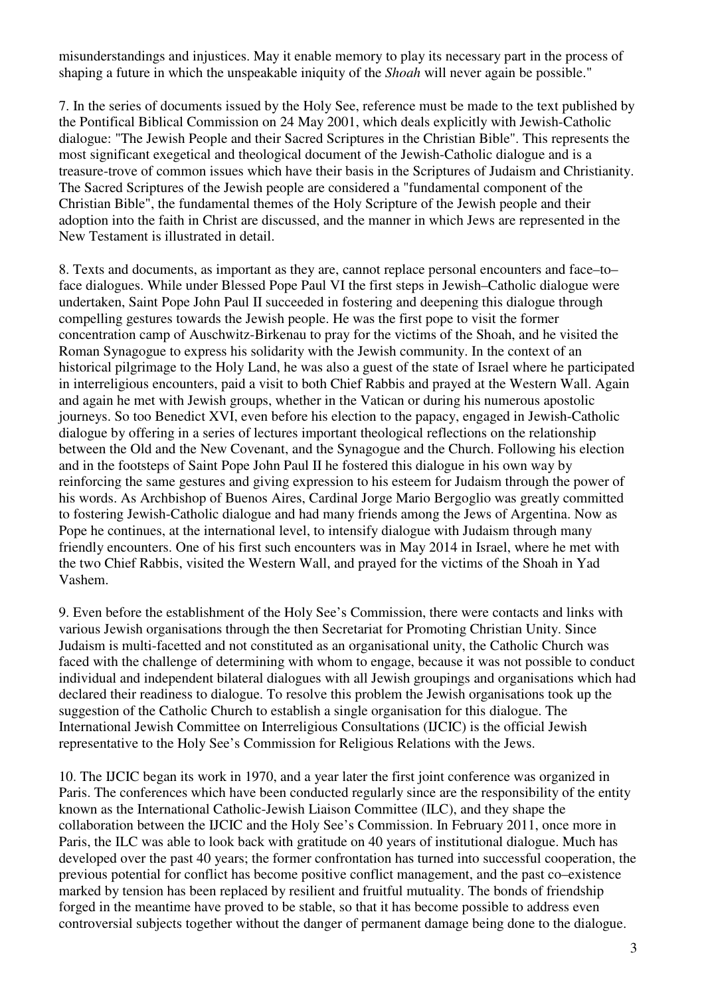misunderstandings and injustices. May it enable memory to play its necessary part in the process of shaping a future in which the unspeakable iniquity of the *Shoah* will never again be possible."

7. In the series of documents issued by the Holy See, reference must be made to the text published by the Pontifical Biblical Commission on 24 May 2001, which deals explicitly with Jewish-Catholic dialogue: "The Jewish People and their Sacred Scriptures in the Christian Bible". This represents the most significant exegetical and theological document of the Jewish-Catholic dialogue and is a treasure-trove of common issues which have their basis in the Scriptures of Judaism and Christianity. The Sacred Scriptures of the Jewish people are considered a "fundamental component of the Christian Bible", the fundamental themes of the Holy Scripture of the Jewish people and their adoption into the faith in Christ are discussed, and the manner in which Jews are represented in the New Testament is illustrated in detail.

8. Texts and documents, as important as they are, cannot replace personal encounters and face–to– face dialogues. While under Blessed Pope Paul VI the first steps in Jewish–Catholic dialogue were undertaken, Saint Pope John Paul II succeeded in fostering and deepening this dialogue through compelling gestures towards the Jewish people. He was the first pope to visit the former concentration camp of Auschwitz-Birkenau to pray for the victims of the Shoah, and he visited the Roman Synagogue to express his solidarity with the Jewish community. In the context of an historical pilgrimage to the Holy Land, he was also a guest of the state of Israel where he participated in interreligious encounters, paid a visit to both Chief Rabbis and prayed at the Western Wall. Again and again he met with Jewish groups, whether in the Vatican or during his numerous apostolic journeys. So too Benedict XVI, even before his election to the papacy, engaged in Jewish-Catholic dialogue by offering in a series of lectures important theological reflections on the relationship between the Old and the New Covenant, and the Synagogue and the Church. Following his election and in the footsteps of Saint Pope John Paul II he fostered this dialogue in his own way by reinforcing the same gestures and giving expression to his esteem for Judaism through the power of his words. As Archbishop of Buenos Aires, Cardinal Jorge Mario Bergoglio was greatly committed to fostering Jewish-Catholic dialogue and had many friends among the Jews of Argentina. Now as Pope he continues, at the international level, to intensify dialogue with Judaism through many friendly encounters. One of his first such encounters was in May 2014 in Israel, where he met with the two Chief Rabbis, visited the Western Wall, and prayed for the victims of the Shoah in Yad Vashem.

9. Even before the establishment of the Holy See's Commission, there were contacts and links with various Jewish organisations through the then Secretariat for Promoting Christian Unity. Since Judaism is multi-facetted and not constituted as an organisational unity, the Catholic Church was faced with the challenge of determining with whom to engage, because it was not possible to conduct individual and independent bilateral dialogues with all Jewish groupings and organisations which had declared their readiness to dialogue. To resolve this problem the Jewish organisations took up the suggestion of the Catholic Church to establish a single organisation for this dialogue. The International Jewish Committee on Interreligious Consultations (IJCIC) is the official Jewish representative to the Holy See's Commission for Religious Relations with the Jews.

10. The IJCIC began its work in 1970, and a year later the first joint conference was organized in Paris. The conferences which have been conducted regularly since are the responsibility of the entity known as the International Catholic-Jewish Liaison Committee (ILC), and they shape the collaboration between the IJCIC and the Holy See's Commission. In February 2011, once more in Paris, the ILC was able to look back with gratitude on 40 years of institutional dialogue. Much has developed over the past 40 years; the former confrontation has turned into successful cooperation, the previous potential for conflict has become positive conflict management, and the past co–existence marked by tension has been replaced by resilient and fruitful mutuality. The bonds of friendship forged in the meantime have proved to be stable, so that it has become possible to address even controversial subjects together without the danger of permanent damage being done to the dialogue.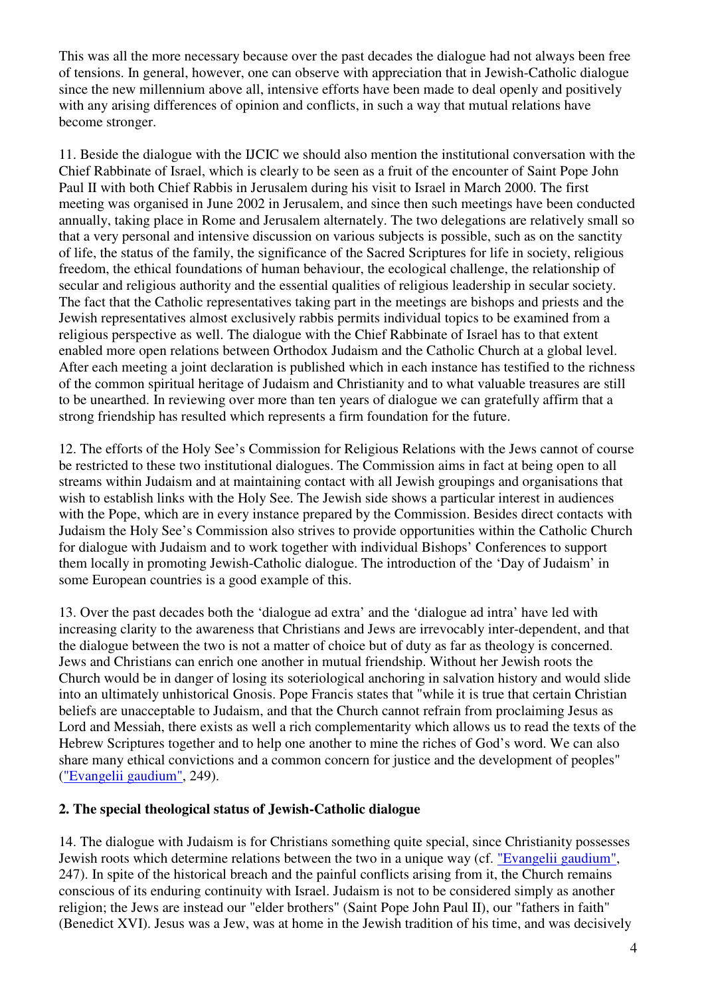This was all the more necessary because over the past decades the dialogue had not always been free of tensions. In general, however, one can observe with appreciation that in Jewish-Catholic dialogue since the new millennium above all, intensive efforts have been made to deal openly and positively with any arising differences of opinion and conflicts, in such a way that mutual relations have become stronger.

11. Beside the dialogue with the IJCIC we should also mention the institutional conversation with the Chief Rabbinate of Israel, which is clearly to be seen as a fruit of the encounter of Saint Pope John Paul II with both Chief Rabbis in Jerusalem during his visit to Israel in March 2000. The first meeting was organised in June 2002 in Jerusalem, and since then such meetings have been conducted annually, taking place in Rome and Jerusalem alternately. The two delegations are relatively small so that a very personal and intensive discussion on various subjects is possible, such as on the sanctity of life, the status of the family, the significance of the Sacred Scriptures for life in society, religious freedom, the ethical foundations of human behaviour, the ecological challenge, the relationship of secular and religious authority and the essential qualities of religious leadership in secular society. The fact that the Catholic representatives taking part in the meetings are bishops and priests and the Jewish representatives almost exclusively rabbis permits individual topics to be examined from a religious perspective as well. The dialogue with the Chief Rabbinate of Israel has to that extent enabled more open relations between Orthodox Judaism and the Catholic Church at a global level. After each meeting a joint declaration is published which in each instance has testified to the richness of the common spiritual heritage of Judaism and Christianity and to what valuable treasures are still to be unearthed. In reviewing over more than ten years of dialogue we can gratefully affirm that a strong friendship has resulted which represents a firm foundation for the future.

12. The efforts of the Holy See's Commission for Religious Relations with the Jews cannot of course be restricted to these two institutional dialogues. The Commission aims in fact at being open to all streams within Judaism and at maintaining contact with all Jewish groupings and organisations that wish to establish links with the Holy See. The Jewish side shows a particular interest in audiences with the Pope, which are in every instance prepared by the Commission. Besides direct contacts with Judaism the Holy See's Commission also strives to provide opportunities within the Catholic Church for dialogue with Judaism and to work together with individual Bishops' Conferences to support them locally in promoting Jewish-Catholic dialogue. The introduction of the 'Day of Judaism' in some European countries is a good example of this.

13. Over the past decades both the 'dialogue ad extra' and the 'dialogue ad intra' have led with increasing clarity to the awareness that Christians and Jews are irrevocably inter-dependent, and that the dialogue between the two is not a matter of choice but of duty as far as theology is concerned. Jews and Christians can enrich one another in mutual friendship. Without her Jewish roots the Church would be in danger of losing its soteriological anchoring in salvation history and would slide into an ultimately unhistorical Gnosis. Pope Francis states that "while it is true that certain Christian beliefs are unacceptable to Judaism, and that the Church cannot refrain from proclaiming Jesus as Lord and Messiah, there exists as well a rich complementarity which allows us to read the texts of the Hebrew Scriptures together and to help one another to mine the riches of God's word. We can also share many ethical convictions and a common concern for justice and the development of peoples" ("Evangelii gaudium", 249).

#### **2. The special theological status of Jewish-Catholic dialogue**

14. The dialogue with Judaism is for Christians something quite special, since Christianity possesses Jewish roots which determine relations between the two in a unique way (cf. "Evangelii gaudium", 247). In spite of the historical breach and the painful conflicts arising from it, the Church remains conscious of its enduring continuity with Israel. Judaism is not to be considered simply as another religion; the Jews are instead our "elder brothers" (Saint Pope John Paul II), our "fathers in faith" (Benedict XVI). Jesus was a Jew, was at home in the Jewish tradition of his time, and was decisively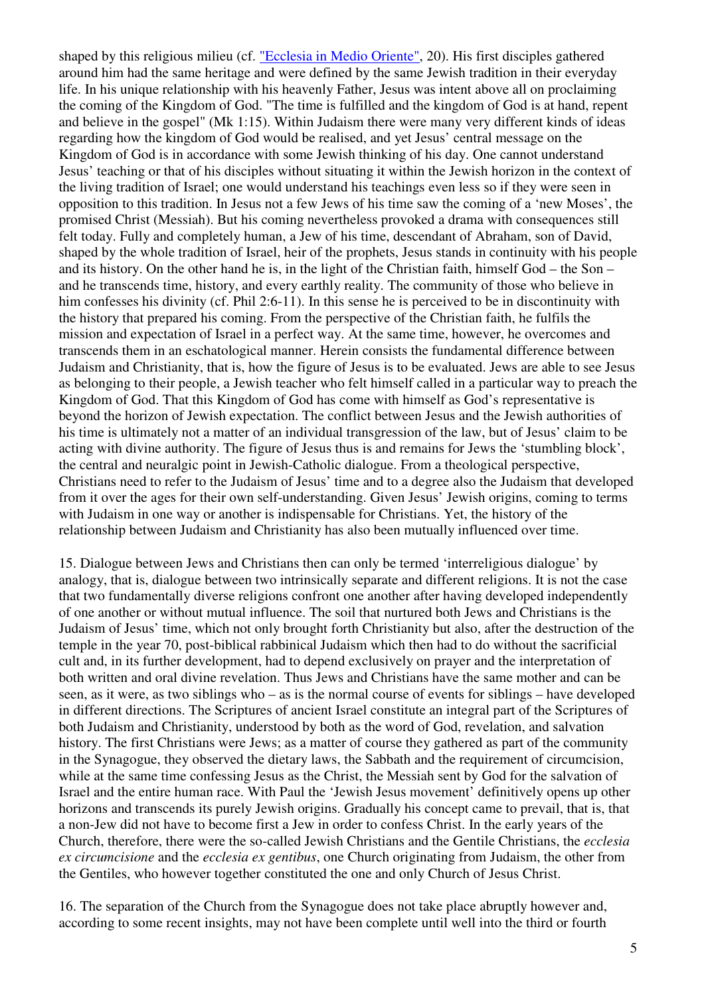shaped by this religious milieu (cf. "Ecclesia in Medio Oriente", 20). His first disciples gathered around him had the same heritage and were defined by the same Jewish tradition in their everyday life. In his unique relationship with his heavenly Father, Jesus was intent above all on proclaiming the coming of the Kingdom of God. "The time is fulfilled and the kingdom of God is at hand, repent and believe in the gospel" (Mk 1:15). Within Judaism there were many very different kinds of ideas regarding how the kingdom of God would be realised, and yet Jesus' central message on the Kingdom of God is in accordance with some Jewish thinking of his day. One cannot understand Jesus' teaching or that of his disciples without situating it within the Jewish horizon in the context of the living tradition of Israel; one would understand his teachings even less so if they were seen in opposition to this tradition. In Jesus not a few Jews of his time saw the coming of a 'new Moses', the promised Christ (Messiah). But his coming nevertheless provoked a drama with consequences still felt today. Fully and completely human, a Jew of his time, descendant of Abraham, son of David, shaped by the whole tradition of Israel, heir of the prophets, Jesus stands in continuity with his people and its history. On the other hand he is, in the light of the Christian faith, himself God – the Son – and he transcends time, history, and every earthly reality. The community of those who believe in him confesses his divinity (cf. Phil 2:6-11). In this sense he is perceived to be in discontinuity with the history that prepared his coming. From the perspective of the Christian faith, he fulfils the mission and expectation of Israel in a perfect way. At the same time, however, he overcomes and transcends them in an eschatological manner. Herein consists the fundamental difference between Judaism and Christianity, that is, how the figure of Jesus is to be evaluated. Jews are able to see Jesus as belonging to their people, a Jewish teacher who felt himself called in a particular way to preach the Kingdom of God. That this Kingdom of God has come with himself as God's representative is beyond the horizon of Jewish expectation. The conflict between Jesus and the Jewish authorities of his time is ultimately not a matter of an individual transgression of the law, but of Jesus' claim to be acting with divine authority. The figure of Jesus thus is and remains for Jews the 'stumbling block', the central and neuralgic point in Jewish-Catholic dialogue. From a theological perspective, Christians need to refer to the Judaism of Jesus' time and to a degree also the Judaism that developed from it over the ages for their own self-understanding. Given Jesus' Jewish origins, coming to terms with Judaism in one way or another is indispensable for Christians. Yet, the history of the relationship between Judaism and Christianity has also been mutually influenced over time.

15. Dialogue between Jews and Christians then can only be termed 'interreligious dialogue' by analogy, that is, dialogue between two intrinsically separate and different religions. It is not the case that two fundamentally diverse religions confront one another after having developed independently of one another or without mutual influence. The soil that nurtured both Jews and Christians is the Judaism of Jesus' time, which not only brought forth Christianity but also, after the destruction of the temple in the year 70, post-biblical rabbinical Judaism which then had to do without the sacrificial cult and, in its further development, had to depend exclusively on prayer and the interpretation of both written and oral divine revelation. Thus Jews and Christians have the same mother and can be seen, as it were, as two siblings who – as is the normal course of events for siblings – have developed in different directions. The Scriptures of ancient Israel constitute an integral part of the Scriptures of both Judaism and Christianity, understood by both as the word of God, revelation, and salvation history. The first Christians were Jews; as a matter of course they gathered as part of the community in the Synagogue, they observed the dietary laws, the Sabbath and the requirement of circumcision, while at the same time confessing Jesus as the Christ, the Messiah sent by God for the salvation of Israel and the entire human race. With Paul the 'Jewish Jesus movement' definitively opens up other horizons and transcends its purely Jewish origins. Gradually his concept came to prevail, that is, that a non-Jew did not have to become first a Jew in order to confess Christ. In the early years of the Church, therefore, there were the so-called Jewish Christians and the Gentile Christians, the *ecclesia ex circumcisione* and the *ecclesia ex gentibus*, one Church originating from Judaism, the other from the Gentiles, who however together constituted the one and only Church of Jesus Christ.

16. The separation of the Church from the Synagogue does not take place abruptly however and, according to some recent insights, may not have been complete until well into the third or fourth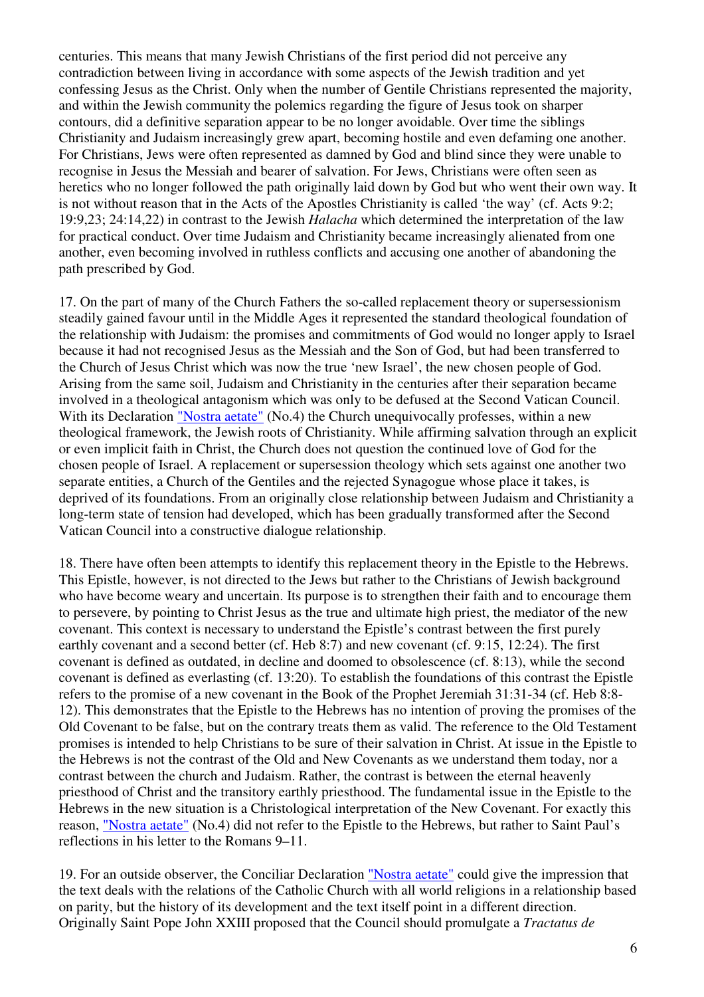centuries. This means that many Jewish Christians of the first period did not perceive any contradiction between living in accordance with some aspects of the Jewish tradition and yet confessing Jesus as the Christ. Only when the number of Gentile Christians represented the majority, and within the Jewish community the polemics regarding the figure of Jesus took on sharper contours, did a definitive separation appear to be no longer avoidable. Over time the siblings Christianity and Judaism increasingly grew apart, becoming hostile and even defaming one another. For Christians, Jews were often represented as damned by God and blind since they were unable to recognise in Jesus the Messiah and bearer of salvation. For Jews, Christians were often seen as heretics who no longer followed the path originally laid down by God but who went their own way. It is not without reason that in the Acts of the Apostles Christianity is called 'the way' (cf. Acts 9:2; 19:9,23; 24:14,22) in contrast to the Jewish *Halacha* which determined the interpretation of the law for practical conduct. Over time Judaism and Christianity became increasingly alienated from one another, even becoming involved in ruthless conflicts and accusing one another of abandoning the path prescribed by God.

17. On the part of many of the Church Fathers the so-called replacement theory or supersessionism steadily gained favour until in the Middle Ages it represented the standard theological foundation of the relationship with Judaism: the promises and commitments of God would no longer apply to Israel because it had not recognised Jesus as the Messiah and the Son of God, but had been transferred to the Church of Jesus Christ which was now the true 'new Israel', the new chosen people of God. Arising from the same soil, Judaism and Christianity in the centuries after their separation became involved in a theological antagonism which was only to be defused at the Second Vatican Council. With its Declaration "Nostra aetate" (No.4) the Church unequivocally professes, within a new theological framework, the Jewish roots of Christianity. While affirming salvation through an explicit or even implicit faith in Christ, the Church does not question the continued love of God for the chosen people of Israel. A replacement or supersession theology which sets against one another two separate entities, a Church of the Gentiles and the rejected Synagogue whose place it takes, is deprived of its foundations. From an originally close relationship between Judaism and Christianity a long-term state of tension had developed, which has been gradually transformed after the Second Vatican Council into a constructive dialogue relationship.

18. There have often been attempts to identify this replacement theory in the Epistle to the Hebrews. This Epistle, however, is not directed to the Jews but rather to the Christians of Jewish background who have become weary and uncertain. Its purpose is to strengthen their faith and to encourage them to persevere, by pointing to Christ Jesus as the true and ultimate high priest, the mediator of the new covenant. This context is necessary to understand the Epistle's contrast between the first purely earthly covenant and a second better (cf. Heb 8:7) and new covenant (cf. 9:15, 12:24). The first covenant is defined as outdated, in decline and doomed to obsolescence (cf. 8:13), while the second covenant is defined as everlasting (cf. 13:20). To establish the foundations of this contrast the Epistle refers to the promise of a new covenant in the Book of the Prophet Jeremiah 31:31-34 (cf. Heb 8:8- 12). This demonstrates that the Epistle to the Hebrews has no intention of proving the promises of the Old Covenant to be false, but on the contrary treats them as valid. The reference to the Old Testament promises is intended to help Christians to be sure of their salvation in Christ. At issue in the Epistle to the Hebrews is not the contrast of the Old and New Covenants as we understand them today, nor a contrast between the church and Judaism. Rather, the contrast is between the eternal heavenly priesthood of Christ and the transitory earthly priesthood. The fundamental issue in the Epistle to the Hebrews in the new situation is a Christological interpretation of the New Covenant. For exactly this reason, "Nostra aetate" (No.4) did not refer to the Epistle to the Hebrews, but rather to Saint Paul's reflections in his letter to the Romans 9–11.

19. For an outside observer, the Conciliar Declaration "Nostra aetate" could give the impression that the text deals with the relations of the Catholic Church with all world religions in a relationship based on parity, but the history of its development and the text itself point in a different direction. Originally Saint Pope John XXIII proposed that the Council should promulgate a *Tractatus de*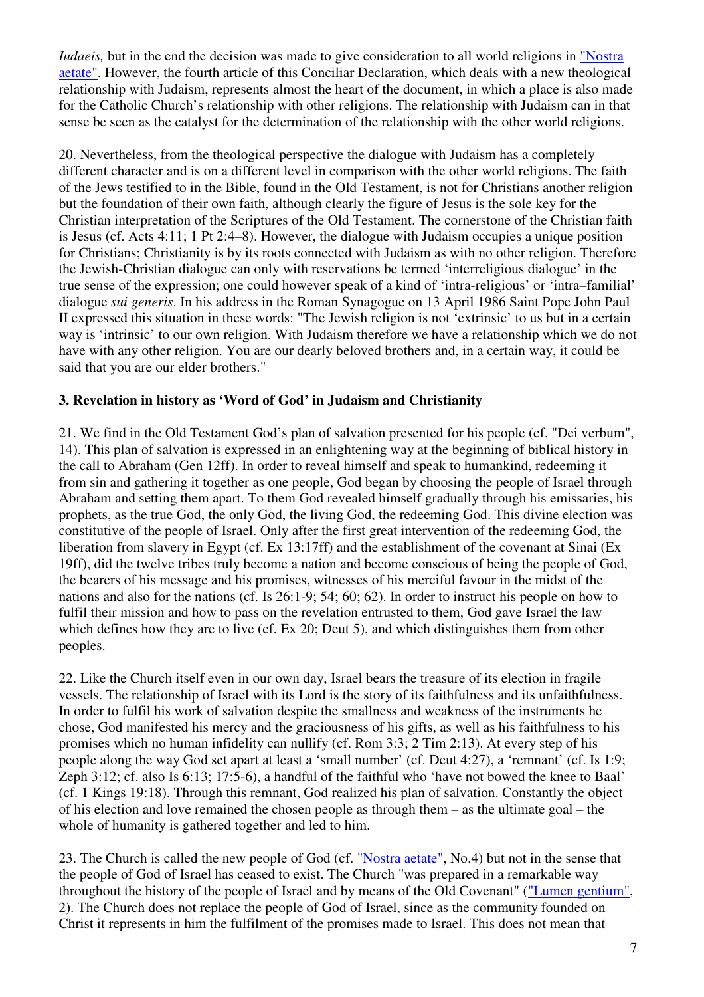*Iudaeis*, but in the end the decision was made to give consideration to all world religions in "Nostra" aetate". However, the fourth article of this Conciliar Declaration, which deals with a new theological relationship with Judaism, represents almost the heart of the document, in which a place is also made for the Catholic Church's relationship with other religions. The relationship with Judaism can in that sense be seen as the catalyst for the determination of the relationship with the other world religions.

20. Nevertheless, from the theological perspective the dialogue with Judaism has a completely different character and is on a different level in comparison with the other world religions. The faith of the Jews testified to in the Bible, found in the Old Testament, is not for Christians another religion but the foundation of their own faith, although clearly the figure of Jesus is the sole key for the Christian interpretation of the Scriptures of the Old Testament. The cornerstone of the Christian faith is Jesus (cf. Acts 4:11; 1 Pt 2:4–8). However, the dialogue with Judaism occupies a unique position for Christians; Christianity is by its roots connected with Judaism as with no other religion. Therefore the Jewish-Christian dialogue can only with reservations be termed 'interreligious dialogue' in the true sense of the expression; one could however speak of a kind of 'intra-religious' or 'intra–familial' dialogue *sui generis*. In his address in the Roman Synagogue on 13 April 1986 Saint Pope John Paul II expressed this situation in these words: "The Jewish religion is not 'extrinsic' to us but in a certain way is 'intrinsic' to our own religion. With Judaism therefore we have a relationship which we do not have with any other religion. You are our dearly beloved brothers and, in a certain way, it could be said that you are our elder brothers."

## **3. Revelation in history as 'Word of God' in Judaism and Christianity**

21. We find in the Old Testament God's plan of salvation presented for his people (cf. "Dei verbum", 14). This plan of salvation is expressed in an enlightening way at the beginning of biblical history in the call to Abraham (Gen 12ff). In order to reveal himself and speak to humankind, redeeming it from sin and gathering it together as one people, God began by choosing the people of Israel through Abraham and setting them apart. To them God revealed himself gradually through his emissaries, his prophets, as the true God, the only God, the living God, the redeeming God. This divine election was constitutive of the people of Israel. Only after the first great intervention of the redeeming God, the liberation from slavery in Egypt (cf. Ex 13:17ff) and the establishment of the covenant at Sinai (Ex 19ff), did the twelve tribes truly become a nation and become conscious of being the people of God, the bearers of his message and his promises, witnesses of his merciful favour in the midst of the nations and also for the nations (cf. Is 26:1-9; 54; 60; 62). In order to instruct his people on how to fulfil their mission and how to pass on the revelation entrusted to them, God gave Israel the law which defines how they are to live (cf. Ex 20; Deut 5), and which distinguishes them from other peoples.

22. Like the Church itself even in our own day, Israel bears the treasure of its election in fragile vessels. The relationship of Israel with its Lord is the story of its faithfulness and its unfaithfulness. In order to fulfil his work of salvation despite the smallness and weakness of the instruments he chose, God manifested his mercy and the graciousness of his gifts, as well as his faithfulness to his promises which no human infidelity can nullify (cf. Rom 3:3; 2 Tim 2:13). At every step of his people along the way God set apart at least a 'small number' (cf. Deut 4:27), a 'remnant' (cf. Is 1:9; Zeph 3:12; cf. also Is 6:13; 17:5-6), a handful of the faithful who 'have not bowed the knee to Baal' (cf. 1 Kings 19:18). Through this remnant, God realized his plan of salvation. Constantly the object of his election and love remained the chosen people as through them – as the ultimate goal – the whole of humanity is gathered together and led to him.

23. The Church is called the new people of God (cf. "Nostra aetate", No.4) but not in the sense that the people of God of Israel has ceased to exist. The Church "was prepared in a remarkable way throughout the history of the people of Israel and by means of the Old Covenant" ("Lumen gentium", 2). The Church does not replace the people of God of Israel, since as the community founded on Christ it represents in him the fulfilment of the promises made to Israel. This does not mean that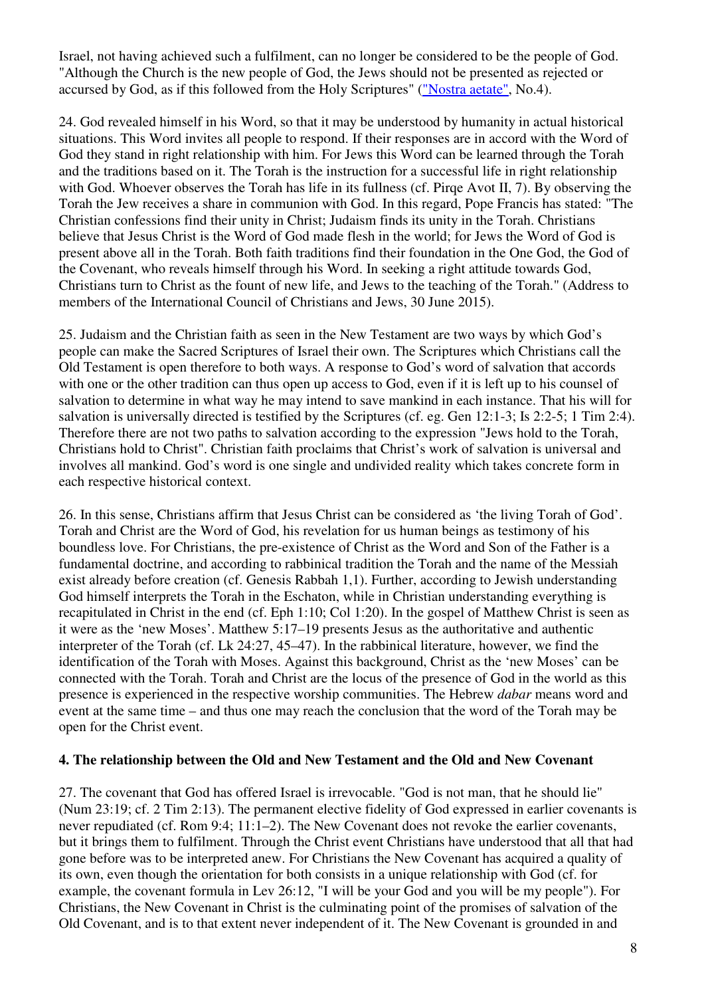Israel, not having achieved such a fulfilment, can no longer be considered to be the people of God. "Although the Church is the new people of God, the Jews should not be presented as rejected or accursed by God, as if this followed from the Holy Scriptures" ("Nostra aetate", No.4).

24. God revealed himself in his Word, so that it may be understood by humanity in actual historical situations. This Word invites all people to respond. If their responses are in accord with the Word of God they stand in right relationship with him. For Jews this Word can be learned through the Torah and the traditions based on it. The Torah is the instruction for a successful life in right relationship with God. Whoever observes the Torah has life in its fullness (cf. Pirqe Avot II, 7). By observing the Torah the Jew receives a share in communion with God. In this regard, Pope Francis has stated: "The Christian confessions find their unity in Christ; Judaism finds its unity in the Torah. Christians believe that Jesus Christ is the Word of God made flesh in the world; for Jews the Word of God is present above all in the Torah. Both faith traditions find their foundation in the One God, the God of the Covenant, who reveals himself through his Word. In seeking a right attitude towards God, Christians turn to Christ as the fount of new life, and Jews to the teaching of the Torah." (Address to members of the International Council of Christians and Jews, 30 June 2015).

25. Judaism and the Christian faith as seen in the New Testament are two ways by which God's people can make the Sacred Scriptures of Israel their own. The Scriptures which Christians call the Old Testament is open therefore to both ways. A response to God's word of salvation that accords with one or the other tradition can thus open up access to God, even if it is left up to his counsel of salvation to determine in what way he may intend to save mankind in each instance. That his will for salvation is universally directed is testified by the Scriptures (cf. eg. Gen 12:1-3; Is 2:2-5; 1 Tim 2:4). Therefore there are not two paths to salvation according to the expression "Jews hold to the Torah, Christians hold to Christ". Christian faith proclaims that Christ's work of salvation is universal and involves all mankind. God's word is one single and undivided reality which takes concrete form in each respective historical context.

26. In this sense, Christians affirm that Jesus Christ can be considered as 'the living Torah of God'. Torah and Christ are the Word of God, his revelation for us human beings as testimony of his boundless love. For Christians, the pre-existence of Christ as the Word and Son of the Father is a fundamental doctrine, and according to rabbinical tradition the Torah and the name of the Messiah exist already before creation (cf. Genesis Rabbah 1,1). Further, according to Jewish understanding God himself interprets the Torah in the Eschaton, while in Christian understanding everything is recapitulated in Christ in the end (cf. Eph 1:10; Col 1:20). In the gospel of Matthew Christ is seen as it were as the 'new Moses'. Matthew 5:17–19 presents Jesus as the authoritative and authentic interpreter of the Torah (cf. Lk 24:27, 45–47). In the rabbinical literature, however, we find the identification of the Torah with Moses. Against this background, Christ as the 'new Moses' can be connected with the Torah. Torah and Christ are the locus of the presence of God in the world as this presence is experienced in the respective worship communities. The Hebrew *dabar* means word and event at the same time – and thus one may reach the conclusion that the word of the Torah may be open for the Christ event.

#### **4. The relationship between the Old and New Testament and the Old and New Covenant**

27. The covenant that God has offered Israel is irrevocable. "God is not man, that he should lie" (Num 23:19; cf. 2 Tim 2:13). The permanent elective fidelity of God expressed in earlier covenants is never repudiated (cf. Rom 9:4; 11:1–2). The New Covenant does not revoke the earlier covenants, but it brings them to fulfilment. Through the Christ event Christians have understood that all that had gone before was to be interpreted anew. For Christians the New Covenant has acquired a quality of its own, even though the orientation for both consists in a unique relationship with God (cf. for example, the covenant formula in Lev 26:12, "I will be your God and you will be my people"). For Christians, the New Covenant in Christ is the culminating point of the promises of salvation of the Old Covenant, and is to that extent never independent of it. The New Covenant is grounded in and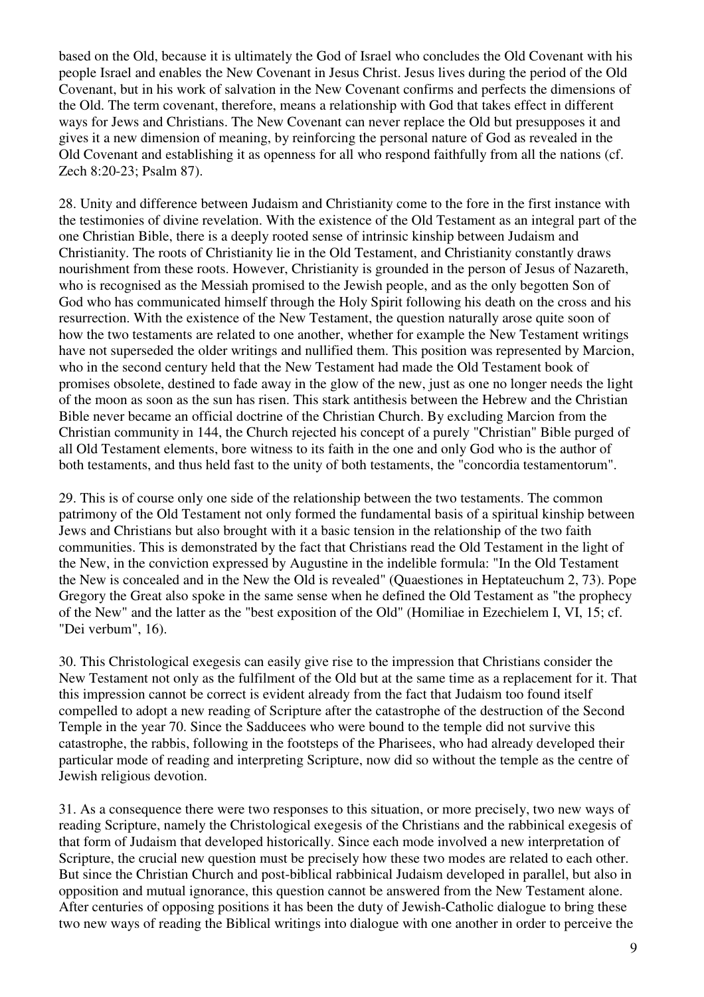based on the Old, because it is ultimately the God of Israel who concludes the Old Covenant with his people Israel and enables the New Covenant in Jesus Christ. Jesus lives during the period of the Old Covenant, but in his work of salvation in the New Covenant confirms and perfects the dimensions of the Old. The term covenant, therefore, means a relationship with God that takes effect in different ways for Jews and Christians. The New Covenant can never replace the Old but presupposes it and gives it a new dimension of meaning, by reinforcing the personal nature of God as revealed in the Old Covenant and establishing it as openness for all who respond faithfully from all the nations (cf. Zech 8:20-23; Psalm 87).

28. Unity and difference between Judaism and Christianity come to the fore in the first instance with the testimonies of divine revelation. With the existence of the Old Testament as an integral part of the one Christian Bible, there is a deeply rooted sense of intrinsic kinship between Judaism and Christianity. The roots of Christianity lie in the Old Testament, and Christianity constantly draws nourishment from these roots. However, Christianity is grounded in the person of Jesus of Nazareth, who is recognised as the Messiah promised to the Jewish people, and as the only begotten Son of God who has communicated himself through the Holy Spirit following his death on the cross and his resurrection. With the existence of the New Testament, the question naturally arose quite soon of how the two testaments are related to one another, whether for example the New Testament writings have not superseded the older writings and nullified them. This position was represented by Marcion, who in the second century held that the New Testament had made the Old Testament book of promises obsolete, destined to fade away in the glow of the new, just as one no longer needs the light of the moon as soon as the sun has risen. This stark antithesis between the Hebrew and the Christian Bible never became an official doctrine of the Christian Church. By excluding Marcion from the Christian community in 144, the Church rejected his concept of a purely "Christian" Bible purged of all Old Testament elements, bore witness to its faith in the one and only God who is the author of both testaments, and thus held fast to the unity of both testaments, the "concordia testamentorum".

29. This is of course only one side of the relationship between the two testaments. The common patrimony of the Old Testament not only formed the fundamental basis of a spiritual kinship between Jews and Christians but also brought with it a basic tension in the relationship of the two faith communities. This is demonstrated by the fact that Christians read the Old Testament in the light of the New, in the conviction expressed by Augustine in the indelible formula: "In the Old Testament the New is concealed and in the New the Old is revealed" (Quaestiones in Heptateuchum 2, 73). Pope Gregory the Great also spoke in the same sense when he defined the Old Testament as "the prophecy of the New" and the latter as the "best exposition of the Old" (Homiliae in Ezechielem I, VI, 15; cf. "Dei verbum", 16).

30. This Christological exegesis can easily give rise to the impression that Christians consider the New Testament not only as the fulfilment of the Old but at the same time as a replacement for it. That this impression cannot be correct is evident already from the fact that Judaism too found itself compelled to adopt a new reading of Scripture after the catastrophe of the destruction of the Second Temple in the year 70. Since the Sadducees who were bound to the temple did not survive this catastrophe, the rabbis, following in the footsteps of the Pharisees, who had already developed their particular mode of reading and interpreting Scripture, now did so without the temple as the centre of Jewish religious devotion.

31. As a consequence there were two responses to this situation, or more precisely, two new ways of reading Scripture, namely the Christological exegesis of the Christians and the rabbinical exegesis of that form of Judaism that developed historically. Since each mode involved a new interpretation of Scripture, the crucial new question must be precisely how these two modes are related to each other. But since the Christian Church and post-biblical rabbinical Judaism developed in parallel, but also in opposition and mutual ignorance, this question cannot be answered from the New Testament alone. After centuries of opposing positions it has been the duty of Jewish-Catholic dialogue to bring these two new ways of reading the Biblical writings into dialogue with one another in order to perceive the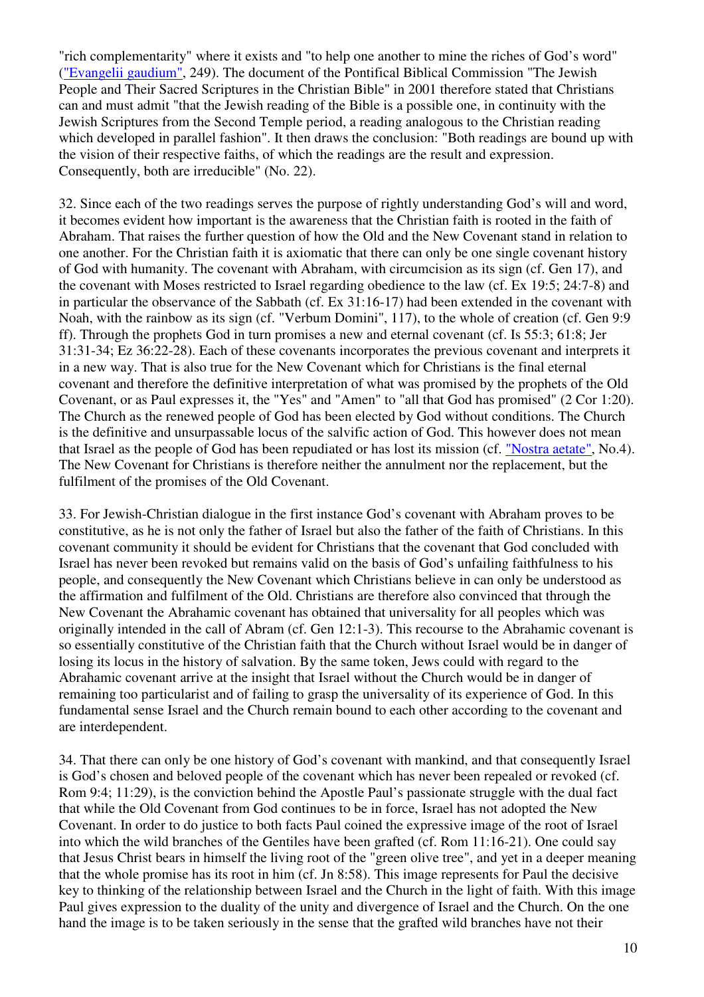"rich complementarity" where it exists and "to help one another to mine the riches of God's word" ("Evangelii gaudium", 249). The document of the Pontifical Biblical Commission "The Jewish People and Their Sacred Scriptures in the Christian Bible" in 2001 therefore stated that Christians can and must admit "that the Jewish reading of the Bible is a possible one, in continuity with the Jewish Scriptures from the Second Temple period, a reading analogous to the Christian reading which developed in parallel fashion". It then draws the conclusion: "Both readings are bound up with the vision of their respective faiths, of which the readings are the result and expression. Consequently, both are irreducible" (No. 22).

32. Since each of the two readings serves the purpose of rightly understanding God's will and word, it becomes evident how important is the awareness that the Christian faith is rooted in the faith of Abraham. That raises the further question of how the Old and the New Covenant stand in relation to one another. For the Christian faith it is axiomatic that there can only be one single covenant history of God with humanity. The covenant with Abraham, with circumcision as its sign (cf. Gen 17), and the covenant with Moses restricted to Israel regarding obedience to the law (cf. Ex 19:5; 24:7-8) and in particular the observance of the Sabbath (cf. Ex 31:16-17) had been extended in the covenant with Noah, with the rainbow as its sign (cf. "Verbum Domini", 117), to the whole of creation (cf. Gen 9:9 ff). Through the prophets God in turn promises a new and eternal covenant (cf. Is 55:3; 61:8; Jer 31:31-34; Ez 36:22-28). Each of these covenants incorporates the previous covenant and interprets it in a new way. That is also true for the New Covenant which for Christians is the final eternal covenant and therefore the definitive interpretation of what was promised by the prophets of the Old Covenant, or as Paul expresses it, the "Yes" and "Amen" to "all that God has promised" (2 Cor 1:20). The Church as the renewed people of God has been elected by God without conditions. The Church is the definitive and unsurpassable locus of the salvific action of God. This however does not mean that Israel as the people of God has been repudiated or has lost its mission (cf. "Nostra aetate", No.4). The New Covenant for Christians is therefore neither the annulment nor the replacement, but the fulfilment of the promises of the Old Covenant.

33. For Jewish-Christian dialogue in the first instance God's covenant with Abraham proves to be constitutive, as he is not only the father of Israel but also the father of the faith of Christians. In this covenant community it should be evident for Christians that the covenant that God concluded with Israel has never been revoked but remains valid on the basis of God's unfailing faithfulness to his people, and consequently the New Covenant which Christians believe in can only be understood as the affirmation and fulfilment of the Old. Christians are therefore also convinced that through the New Covenant the Abrahamic covenant has obtained that universality for all peoples which was originally intended in the call of Abram (cf. Gen 12:1-3). This recourse to the Abrahamic covenant is so essentially constitutive of the Christian faith that the Church without Israel would be in danger of losing its locus in the history of salvation. By the same token, Jews could with regard to the Abrahamic covenant arrive at the insight that Israel without the Church would be in danger of remaining too particularist and of failing to grasp the universality of its experience of God. In this fundamental sense Israel and the Church remain bound to each other according to the covenant and are interdependent.

34. That there can only be one history of God's covenant with mankind, and that consequently Israel is God's chosen and beloved people of the covenant which has never been repealed or revoked (cf. Rom 9:4; 11:29), is the conviction behind the Apostle Paul's passionate struggle with the dual fact that while the Old Covenant from God continues to be in force, Israel has not adopted the New Covenant. In order to do justice to both facts Paul coined the expressive image of the root of Israel into which the wild branches of the Gentiles have been grafted (cf. Rom 11:16-21). One could say that Jesus Christ bears in himself the living root of the "green olive tree", and yet in a deeper meaning that the whole promise has its root in him (cf. Jn 8:58). This image represents for Paul the decisive key to thinking of the relationship between Israel and the Church in the light of faith. With this image Paul gives expression to the duality of the unity and divergence of Israel and the Church. On the one hand the image is to be taken seriously in the sense that the grafted wild branches have not their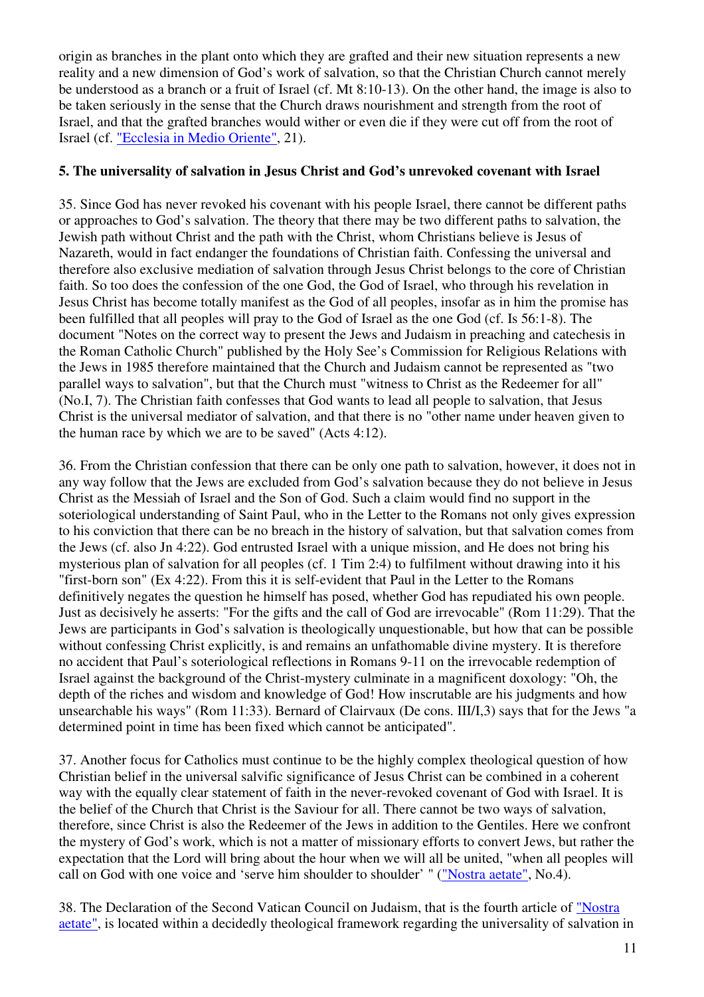origin as branches in the plant onto which they are grafted and their new situation represents a new reality and a new dimension of God's work of salvation, so that the Christian Church cannot merely be understood as a branch or a fruit of Israel (cf. Mt 8:10-13). On the other hand, the image is also to be taken seriously in the sense that the Church draws nourishment and strength from the root of Israel, and that the grafted branches would wither or even die if they were cut off from the root of Israel (cf. "Ecclesia in Medio Oriente", 21).

# **5. The universality of salvation in Jesus Christ and God's unrevoked covenant with Israel**

35. Since God has never revoked his covenant with his people Israel, there cannot be different paths or approaches to God's salvation. The theory that there may be two different paths to salvation, the Jewish path without Christ and the path with the Christ, whom Christians believe is Jesus of Nazareth, would in fact endanger the foundations of Christian faith. Confessing the universal and therefore also exclusive mediation of salvation through Jesus Christ belongs to the core of Christian faith. So too does the confession of the one God, the God of Israel, who through his revelation in Jesus Christ has become totally manifest as the God of all peoples, insofar as in him the promise has been fulfilled that all peoples will pray to the God of Israel as the one God (cf. Is 56:1-8). The document "Notes on the correct way to present the Jews and Judaism in preaching and catechesis in the Roman Catholic Church" published by the Holy See's Commission for Religious Relations with the Jews in 1985 therefore maintained that the Church and Judaism cannot be represented as "two parallel ways to salvation", but that the Church must "witness to Christ as the Redeemer for all" (No.I, 7). The Christian faith confesses that God wants to lead all people to salvation, that Jesus Christ is the universal mediator of salvation, and that there is no "other name under heaven given to the human race by which we are to be saved" (Acts 4:12).

36. From the Christian confession that there can be only one path to salvation, however, it does not in any way follow that the Jews are excluded from God's salvation because they do not believe in Jesus Christ as the Messiah of Israel and the Son of God. Such a claim would find no support in the soteriological understanding of Saint Paul, who in the Letter to the Romans not only gives expression to his conviction that there can be no breach in the history of salvation, but that salvation comes from the Jews (cf. also Jn 4:22). God entrusted Israel with a unique mission, and He does not bring his mysterious plan of salvation for all peoples (cf. 1 Tim 2:4) to fulfilment without drawing into it his "first-born son" (Ex 4:22). From this it is self-evident that Paul in the Letter to the Romans definitively negates the question he himself has posed, whether God has repudiated his own people. Just as decisively he asserts: "For the gifts and the call of God are irrevocable" (Rom 11:29). That the Jews are participants in God's salvation is theologically unquestionable, but how that can be possible without confessing Christ explicitly, is and remains an unfathomable divine mystery. It is therefore no accident that Paul's soteriological reflections in Romans 9-11 on the irrevocable redemption of Israel against the background of the Christ-mystery culminate in a magnificent doxology: "Oh, the depth of the riches and wisdom and knowledge of God! How inscrutable are his judgments and how unsearchable his ways" (Rom 11:33). Bernard of Clairvaux (De cons. III/I,3) says that for the Jews "a determined point in time has been fixed which cannot be anticipated".

37. Another focus for Catholics must continue to be the highly complex theological question of how Christian belief in the universal salvific significance of Jesus Christ can be combined in a coherent way with the equally clear statement of faith in the never-revoked covenant of God with Israel. It is the belief of the Church that Christ is the Saviour for all. There cannot be two ways of salvation, therefore, since Christ is also the Redeemer of the Jews in addition to the Gentiles. Here we confront the mystery of God's work, which is not a matter of missionary efforts to convert Jews, but rather the expectation that the Lord will bring about the hour when we will all be united, "when all peoples will call on God with one voice and 'serve him shoulder to shoulder' " ("Nostra aetate", No.4).

38. The Declaration of the Second Vatican Council on Judaism, that is the fourth article of "Nostra aetate", is located within a decidedly theological framework regarding the universality of salvation in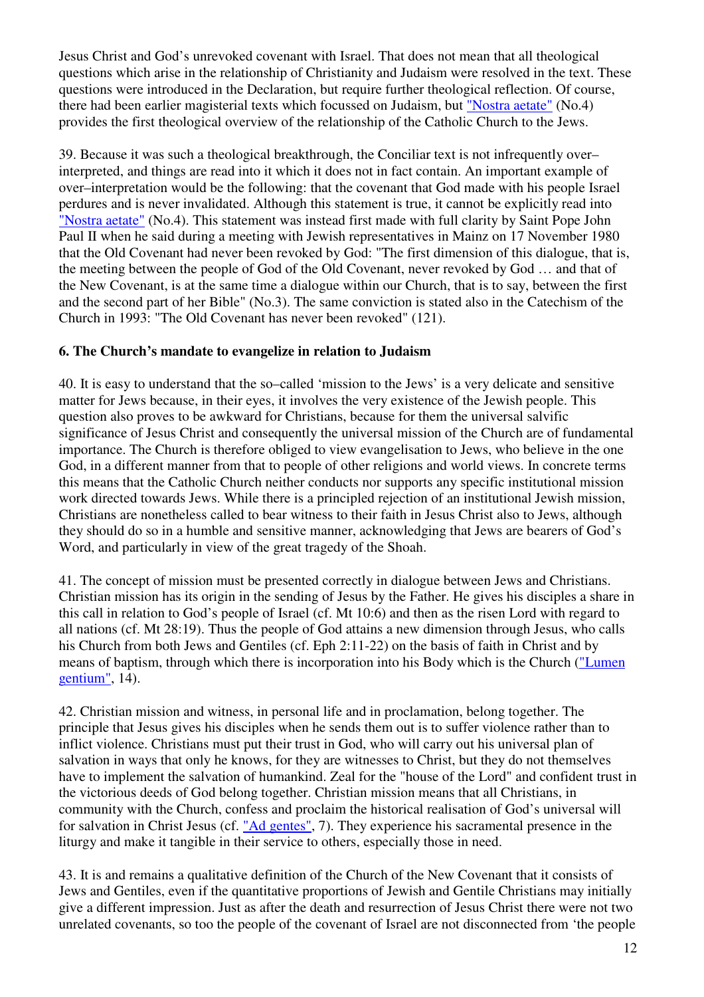Jesus Christ and God's unrevoked covenant with Israel. That does not mean that all theological questions which arise in the relationship of Christianity and Judaism were resolved in the text. These questions were introduced in the Declaration, but require further theological reflection. Of course, there had been earlier magisterial texts which focussed on Judaism, but "Nostra aetate" (No.4) provides the first theological overview of the relationship of the Catholic Church to the Jews.

39. Because it was such a theological breakthrough, the Conciliar text is not infrequently over– interpreted, and things are read into it which it does not in fact contain. An important example of over–interpretation would be the following: that the covenant that God made with his people Israel perdures and is never invalidated. Although this statement is true, it cannot be explicitly read into "Nostra aetate" (No.4). This statement was instead first made with full clarity by Saint Pope John Paul II when he said during a meeting with Jewish representatives in Mainz on 17 November 1980 that the Old Covenant had never been revoked by God: "The first dimension of this dialogue, that is, the meeting between the people of God of the Old Covenant, never revoked by God … and that of the New Covenant, is at the same time a dialogue within our Church, that is to say, between the first and the second part of her Bible" (No.3). The same conviction is stated also in the Catechism of the Church in 1993: "The Old Covenant has never been revoked" (121).

## **6. The Church's mandate to evangelize in relation to Judaism**

40. It is easy to understand that the so–called 'mission to the Jews' is a very delicate and sensitive matter for Jews because, in their eyes, it involves the very existence of the Jewish people. This question also proves to be awkward for Christians, because for them the universal salvific significance of Jesus Christ and consequently the universal mission of the Church are of fundamental importance. The Church is therefore obliged to view evangelisation to Jews, who believe in the one God, in a different manner from that to people of other religions and world views. In concrete terms this means that the Catholic Church neither conducts nor supports any specific institutional mission work directed towards Jews. While there is a principled rejection of an institutional Jewish mission, Christians are nonetheless called to bear witness to their faith in Jesus Christ also to Jews, although they should do so in a humble and sensitive manner, acknowledging that Jews are bearers of God's Word, and particularly in view of the great tragedy of the Shoah.

41. The concept of mission must be presented correctly in dialogue between Jews and Christians. Christian mission has its origin in the sending of Jesus by the Father. He gives his disciples a share in this call in relation to God's people of Israel (cf. Mt 10:6) and then as the risen Lord with regard to all nations (cf. Mt 28:19). Thus the people of God attains a new dimension through Jesus, who calls his Church from both Jews and Gentiles (cf. Eph 2:11-22) on the basis of faith in Christ and by means of baptism, through which there is incorporation into his Body which is the Church ("Lumen gentium", 14).

42. Christian mission and witness, in personal life and in proclamation, belong together. The principle that Jesus gives his disciples when he sends them out is to suffer violence rather than to inflict violence. Christians must put their trust in God, who will carry out his universal plan of salvation in ways that only he knows, for they are witnesses to Christ, but they do not themselves have to implement the salvation of humankind. Zeal for the "house of the Lord" and confident trust in the victorious deeds of God belong together. Christian mission means that all Christians, in community with the Church, confess and proclaim the historical realisation of God's universal will for salvation in Christ Jesus (cf. "Ad gentes", 7). They experience his sacramental presence in the liturgy and make it tangible in their service to others, especially those in need.

43. It is and remains a qualitative definition of the Church of the New Covenant that it consists of Jews and Gentiles, even if the quantitative proportions of Jewish and Gentile Christians may initially give a different impression. Just as after the death and resurrection of Jesus Christ there were not two unrelated covenants, so too the people of the covenant of Israel are not disconnected from 'the people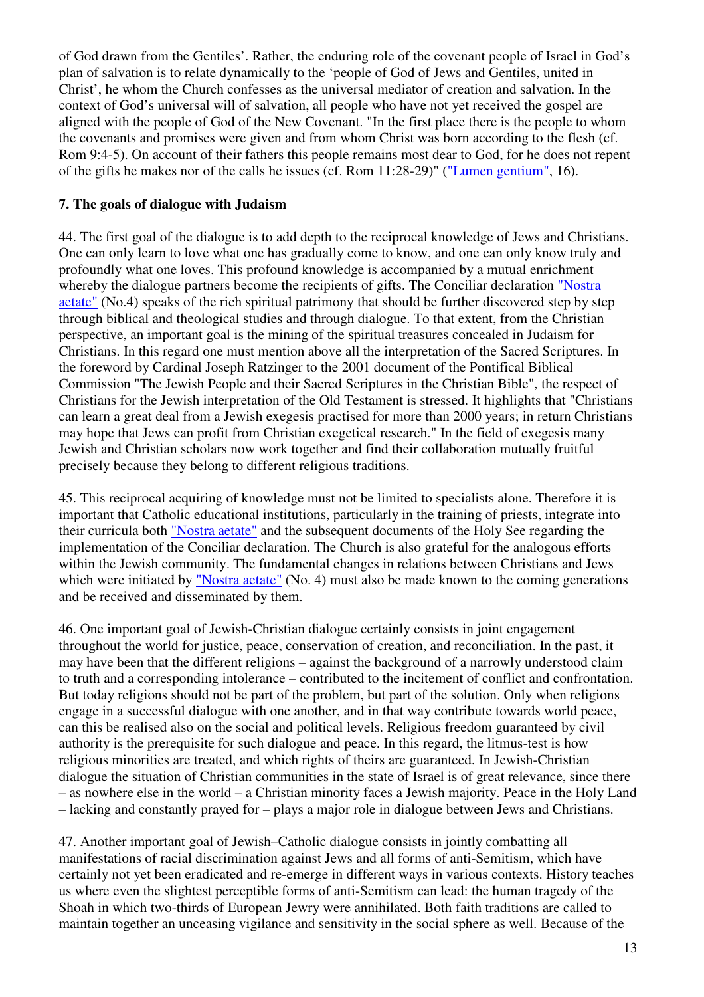of God drawn from the Gentiles'. Rather, the enduring role of the covenant people of Israel in God's plan of salvation is to relate dynamically to the 'people of God of Jews and Gentiles, united in Christ', he whom the Church confesses as the universal mediator of creation and salvation. In the context of God's universal will of salvation, all people who have not yet received the gospel are aligned with the people of God of the New Covenant. "In the first place there is the people to whom the covenants and promises were given and from whom Christ was born according to the flesh (cf. Rom 9:4-5). On account of their fathers this people remains most dear to God, for he does not repent of the gifts he makes nor of the calls he issues (cf. Rom 11:28-29)" ("Lumen gentium", 16).

# **7. The goals of dialogue with Judaism**

44. The first goal of the dialogue is to add depth to the reciprocal knowledge of Jews and Christians. One can only learn to love what one has gradually come to know, and one can only know truly and profoundly what one loves. This profound knowledge is accompanied by a mutual enrichment whereby the dialogue partners become the recipients of gifts. The Conciliar declaration "Nostra" aetate" (No.4) speaks of the rich spiritual patrimony that should be further discovered step by step through biblical and theological studies and through dialogue. To that extent, from the Christian perspective, an important goal is the mining of the spiritual treasures concealed in Judaism for Christians. In this regard one must mention above all the interpretation of the Sacred Scriptures. In the foreword by Cardinal Joseph Ratzinger to the 2001 document of the Pontifical Biblical Commission "The Jewish People and their Sacred Scriptures in the Christian Bible", the respect of Christians for the Jewish interpretation of the Old Testament is stressed. It highlights that "Christians can learn a great deal from a Jewish exegesis practised for more than 2000 years; in return Christians may hope that Jews can profit from Christian exegetical research." In the field of exegesis many Jewish and Christian scholars now work together and find their collaboration mutually fruitful precisely because they belong to different religious traditions.

45. This reciprocal acquiring of knowledge must not be limited to specialists alone. Therefore it is important that Catholic educational institutions, particularly in the training of priests, integrate into their curricula both "Nostra aetate" and the subsequent documents of the Holy See regarding the implementation of the Conciliar declaration. The Church is also grateful for the analogous efforts within the Jewish community. The fundamental changes in relations between Christians and Jews which were initiated by "Nostra aetate" (No. 4) must also be made known to the coming generations and be received and disseminated by them.

46. One important goal of Jewish-Christian dialogue certainly consists in joint engagement throughout the world for justice, peace, conservation of creation, and reconciliation. In the past, it may have been that the different religions – against the background of a narrowly understood claim to truth and a corresponding intolerance – contributed to the incitement of conflict and confrontation. But today religions should not be part of the problem, but part of the solution. Only when religions engage in a successful dialogue with one another, and in that way contribute towards world peace, can this be realised also on the social and political levels. Religious freedom guaranteed by civil authority is the prerequisite for such dialogue and peace. In this regard, the litmus-test is how religious minorities are treated, and which rights of theirs are guaranteed. In Jewish-Christian dialogue the situation of Christian communities in the state of Israel is of great relevance, since there – as nowhere else in the world – a Christian minority faces a Jewish majority. Peace in the Holy Land – lacking and constantly prayed for – plays a major role in dialogue between Jews and Christians.

47. Another important goal of Jewish–Catholic dialogue consists in jointly combatting all manifestations of racial discrimination against Jews and all forms of anti-Semitism, which have certainly not yet been eradicated and re-emerge in different ways in various contexts. History teaches us where even the slightest perceptible forms of anti-Semitism can lead: the human tragedy of the Shoah in which two-thirds of European Jewry were annihilated. Both faith traditions are called to maintain together an unceasing vigilance and sensitivity in the social sphere as well. Because of the